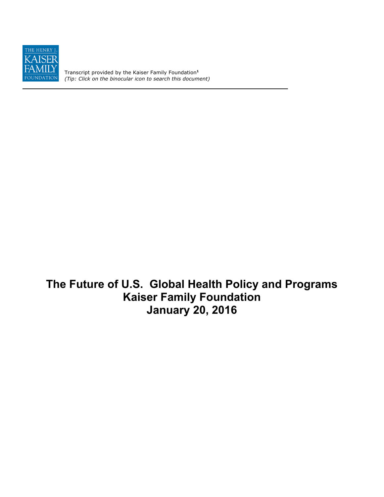

Transcript provided by the Kaiser Family Foundation**<sup>1</sup>** *(Tip: Click on the binocular icon to search this document)*

**The Future of U.S. Global Health Policy and Programs Kaiser Family Foundation January 20, 2016**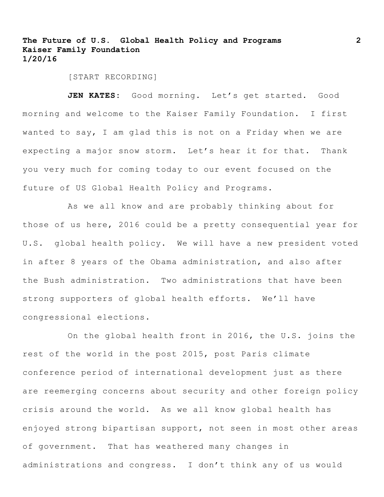[START RECORDING]

JEN KATES: Good morning. Let's get started. Good morning and welcome to the Kaiser Family Foundation. I first wanted to say, I am glad this is not on a Friday when we are expecting a major snow storm. Let's hear it for that. Thank you very much for coming today to our event focused on the future of US Global Health Policy and Programs.

As we all know and are probably thinking about for those of us here, 2016 could be a pretty consequential year for U.S. global health policy. We will have a new president voted in after 8 years of the Obama administration, and also after the Bush administration. Two administrations that have been strong supporters of global health efforts. We'll have congressional elections.

On the global health front in 2016, the U.S. joins the rest of the world in the post 2015, post Paris climate conference period of international development just as there are reemerging concerns about security and other foreign policy crisis around the world. As we all know global health has enjoyed strong bipartisan support, not seen in most other areas of government. That has weathered many changes in administrations and congress. I don't think any of us would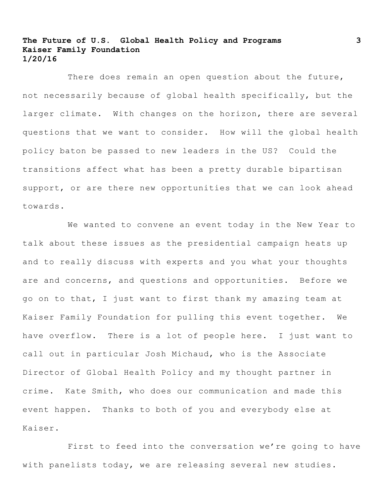There does remain an open question about the future, not necessarily because of global health specifically, but the larger climate. With changes on the horizon, there are several questions that we want to consider. How will the global health policy baton be passed to new leaders in the US? Could the transitions affect what has been a pretty durable bipartisan support, or are there new opportunities that we can look ahead towards.

We wanted to convene an event today in the New Year to talk about these issues as the presidential campaign heats up and to really discuss with experts and you what your thoughts are and concerns, and questions and opportunities. Before we go on to that, I just want to first thank my amazing team at Kaiser Family Foundation for pulling this event together. We have overflow. There is a lot of people here. I just want to call out in particular Josh Michaud, who is the Associate Director of Global Health Policy and my thought partner in crime. Kate Smith, who does our communication and made this event happen. Thanks to both of you and everybody else at Kaiser.

First to feed into the conversation we're going to have with panelists today, we are releasing several new studies.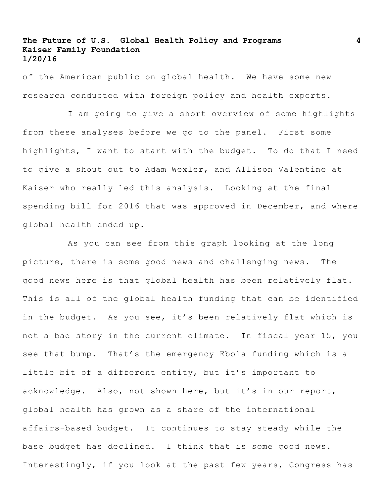of the American public on global health. We have some new research conducted with foreign policy and health experts.

I am going to give a short overview of some highlights from these analyses before we go to the panel. First some highlights, I want to start with the budget. To do that I need to give a shout out to Adam Wexler, and Allison Valentine at Kaiser who really led this analysis. Looking at the final spending bill for 2016 that was approved in December, and where global health ended up.

As you can see from this graph looking at the long picture, there is some good news and challenging news. The good news here is that global health has been relatively flat. This is all of the global health funding that can be identified in the budget. As you see, it's been relatively flat which is not a bad story in the current climate. In fiscal year 15, you see that bump. That's the emergency Ebola funding which is a little bit of a different entity, but it's important to acknowledge. Also, not shown here, but it's in our report, global health has grown as a share of the international affairs-based budget. It continues to stay steady while the base budget has declined. I think that is some good news. Interestingly, if you look at the past few years, Congress has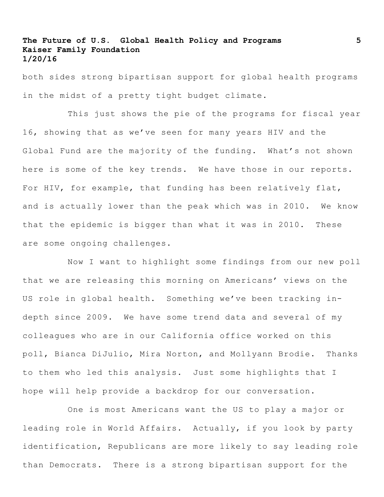both sides strong bipartisan support for global health programs in the midst of a pretty tight budget climate.

This just shows the pie of the programs for fiscal year 16, showing that as we've seen for many years HIV and the Global Fund are the majority of the funding. What's not shown here is some of the key trends. We have those in our reports. For HIV, for example, that funding has been relatively flat, and is actually lower than the peak which was in 2010. We know that the epidemic is bigger than what it was in 2010. These are some ongoing challenges.

Now I want to highlight some findings from our new poll that we are releasing this morning on Americans' views on the US role in global health. Something we've been tracking indepth since 2009. We have some trend data and several of my colleagues who are in our California office worked on this poll, Bianca DiJulio, Mira Norton, and Mollyann Brodie. Thanks to them who led this analysis. Just some highlights that I hope will help provide a backdrop for our conversation.

One is most Americans want the US to play a major or leading role in World Affairs. Actually, if you look by party identification, Republicans are more likely to say leading role than Democrats. There is a strong bipartisan support for the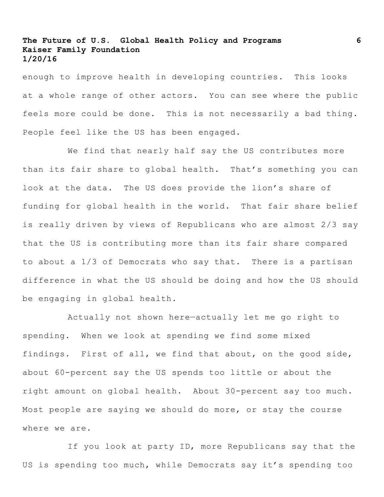enough to improve health in developing countries. This looks at a whole range of other actors. You can see where the public feels more could be done. This is not necessarily a bad thing. People feel like the US has been engaged.

We find that nearly half say the US contributes more than its fair share to global health. That's something you can look at the data. The US does provide the lion's share of funding for global health in the world. That fair share belief is really driven by views of Republicans who are almost 2/3 say that the US is contributing more than its fair share compared to about a 1/3 of Democrats who say that. There is a partisan difference in what the US should be doing and how the US should be engaging in global health.

Actually not shown here—actually let me go right to spending. When we look at spending we find some mixed findings. First of all, we find that about, on the good side, about 60-percent say the US spends too little or about the right amount on global health. About 30-percent say too much. Most people are saying we should do more, or stay the course where we are.

If you look at party ID, more Republicans say that the US is spending too much, while Democrats say it's spending too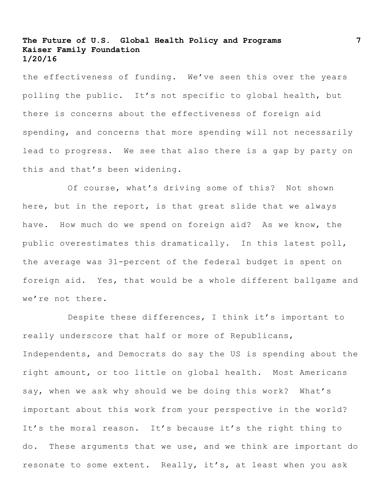the effectiveness of funding. We've seen this over the years polling the public. It's not specific to global health, but there is concerns about the effectiveness of foreign aid spending, and concerns that more spending will not necessarily lead to progress. We see that also there is a gap by party on this and that's been widening.

Of course, what's driving some of this? Not shown here, but in the report, is that great slide that we always have. How much do we spend on foreign aid? As we know, the public overestimates this dramatically. In this latest poll, the average was 31-percent of the federal budget is spent on foreign aid. Yes, that would be a whole different ballgame and we're not there.

Despite these differences, I think it's important to really underscore that half or more of Republicans, Independents, and Democrats do say the US is spending about the right amount, or too little on global health. Most Americans say, when we ask why should we be doing this work? What's important about this work from your perspective in the world? It's the moral reason. It's because it's the right thing to do. These arguments that we use, and we think are important do resonate to some extent. Really, it's, at least when you ask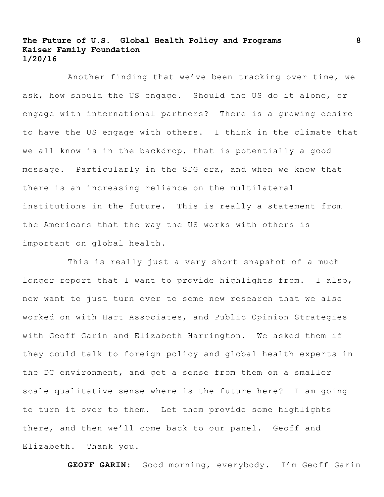Another finding that we've been tracking over time, we ask, how should the US engage. Should the US do it alone, or engage with international partners? There is a growing desire to have the US engage with others. I think in the climate that we all know is in the backdrop, that is potentially a good message. Particularly in the SDG era, and when we know that there is an increasing reliance on the multilateral institutions in the future. This is really a statement from the Americans that the way the US works with others is important on global health.

This is really just a very short snapshot of a much longer report that I want to provide highlights from. I also, now want to just turn over to some new research that we also worked on with Hart Associates, and Public Opinion Strategies with Geoff Garin and Elizabeth Harrington. We asked them if they could talk to foreign policy and global health experts in the DC environment, and get a sense from them on a smaller scale qualitative sense where is the future here? I am going to turn it over to them. Let them provide some highlights there, and then we'll come back to our panel. Geoff and Elizabeth. Thank you.

**GEOFF GARIN:** Good morning, everybody. I'm Geoff Garin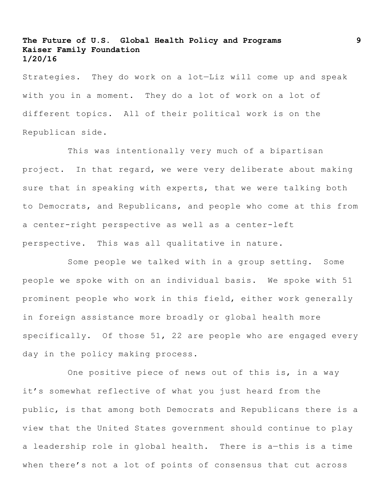Strategies. They do work on a lot—Liz will come up and speak with you in a moment. They do a lot of work on a lot of different topics. All of their political work is on the Republican side.

This was intentionally very much of a bipartisan project. In that regard, we were very deliberate about making sure that in speaking with experts, that we were talking both to Democrats, and Republicans, and people who come at this from a center-right perspective as well as a center-left perspective. This was all qualitative in nature.

Some people we talked with in a group setting. Some people we spoke with on an individual basis. We spoke with 51 prominent people who work in this field, either work generally in foreign assistance more broadly or global health more specifically. Of those 51, 22 are people who are engaged every day in the policy making process.

One positive piece of news out of this is, in a way it's somewhat reflective of what you just heard from the public, is that among both Democrats and Republicans there is a view that the United States government should continue to play a leadership role in global health. There is a—this is a time when there's not a lot of points of consensus that cut across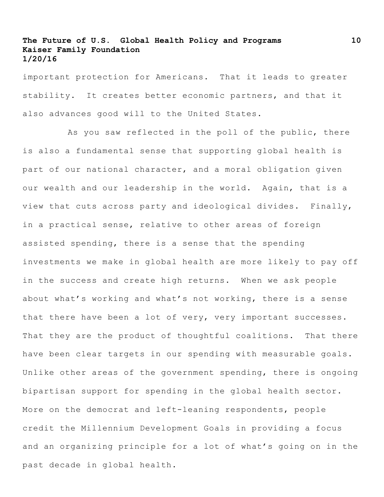important protection for Americans. That it leads to greater stability. It creates better economic partners, and that it also advances good will to the United States.

As you saw reflected in the poll of the public, there is also a fundamental sense that supporting global health is part of our national character, and a moral obligation given our wealth and our leadership in the world. Again, that is a view that cuts across party and ideological divides. Finally, in a practical sense, relative to other areas of foreign assisted spending, there is a sense that the spending investments we make in global health are more likely to pay off in the success and create high returns. When we ask people about what's working and what's not working, there is a sense that there have been a lot of very, very important successes. That they are the product of thoughtful coalitions. That there have been clear targets in our spending with measurable goals. Unlike other areas of the government spending, there is ongoing bipartisan support for spending in the global health sector. More on the democrat and left-leaning respondents, people credit the Millennium Development Goals in providing a focus and an organizing principle for a lot of what's going on in the past decade in global health.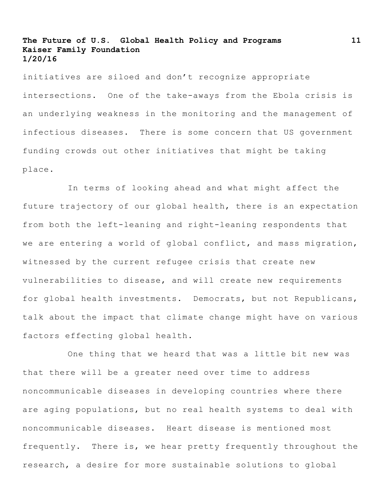initiatives are siloed and don't recognize appropriate intersections. One of the take-aways from the Ebola crisis is an underlying weakness in the monitoring and the management of infectious diseases. There is some concern that US government funding crowds out other initiatives that might be taking place.

In terms of looking ahead and what might affect the future trajectory of our global health, there is an expectation from both the left-leaning and right-leaning respondents that we are entering a world of global conflict, and mass migration, witnessed by the current refugee crisis that create new vulnerabilities to disease, and will create new requirements for global health investments. Democrats, but not Republicans, talk about the impact that climate change might have on various factors effecting global health.

One thing that we heard that was a little bit new was that there will be a greater need over time to address noncommunicable diseases in developing countries where there are aging populations, but no real health systems to deal with noncommunicable diseases. Heart disease is mentioned most frequently. There is, we hear pretty frequently throughout the research, a desire for more sustainable solutions to global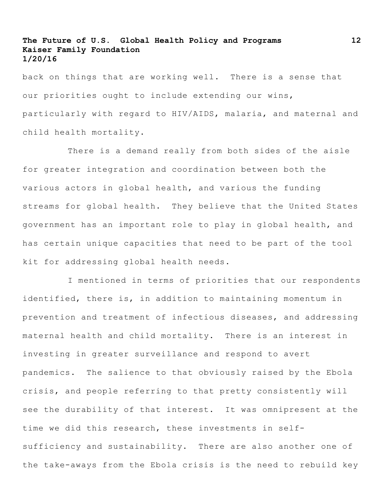back on things that are working well. There is a sense that our priorities ought to include extending our wins, particularly with regard to HIV/AIDS, malaria, and maternal and child health mortality.

There is a demand really from both sides of the aisle for greater integration and coordination between both the various actors in global health, and various the funding streams for global health. They believe that the United States government has an important role to play in global health, and has certain unique capacities that need to be part of the tool kit for addressing global health needs.

I mentioned in terms of priorities that our respondents identified, there is, in addition to maintaining momentum in prevention and treatment of infectious diseases, and addressing maternal health and child mortality. There is an interest in investing in greater surveillance and respond to avert pandemics. The salience to that obviously raised by the Ebola crisis, and people referring to that pretty consistently will see the durability of that interest. It was omnipresent at the time we did this research, these investments in selfsufficiency and sustainability. There are also another one of the take-aways from the Ebola crisis is the need to rebuild key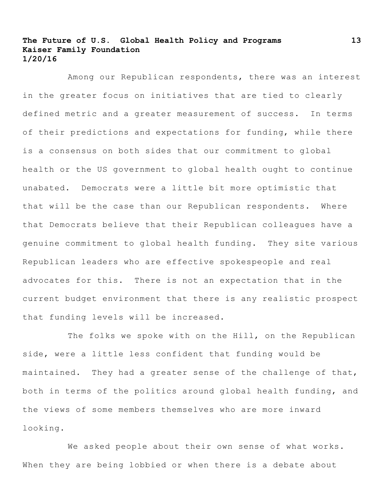Among our Republican respondents, there was an interest in the greater focus on initiatives that are tied to clearly defined metric and a greater measurement of success. In terms of their predictions and expectations for funding, while there is a consensus on both sides that our commitment to global health or the US government to global health ought to continue unabated. Democrats were a little bit more optimistic that that will be the case than our Republican respondents. Where that Democrats believe that their Republican colleagues have a genuine commitment to global health funding. They site various Republican leaders who are effective spokespeople and real advocates for this. There is not an expectation that in the current budget environment that there is any realistic prospect that funding levels will be increased.

The folks we spoke with on the Hill, on the Republican side, were a little less confident that funding would be maintained. They had a greater sense of the challenge of that, both in terms of the politics around global health funding, and the views of some members themselves who are more inward looking.

We asked people about their own sense of what works. When they are being lobbied or when there is a debate about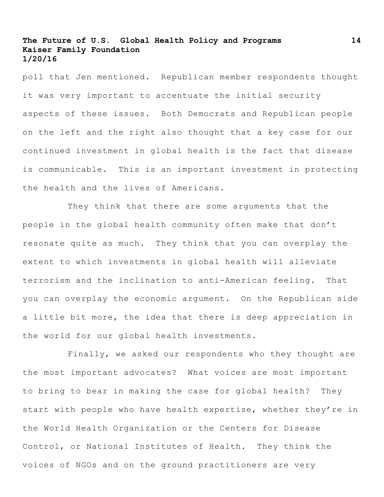poll that Jen mentioned. Republican member respondents thought it was very important to accentuate the initial security aspects of these issues. Both Democrats and Republican people on the left and the right also thought that a key case for our continued investment in global health is the fact that disease is communicable. This is an important investment in protecting the health and the lives of Americans.

They think that there are some arguments that the people in the global health community often make that don't resonate quite as much. They think that you can overplay the extent to which investments in global health will alleviate terrorism and the inclination to anti-American feeling. That you can overplay the economic argument. On the Republican side a little bit more, the idea that there is deep appreciation in the world for our global health investments.

Finally, we asked our respondents who they thought are the most important advocates? What voices are most important to bring to bear in making the case for global health? They start with people who have health expertise, whether they're in the World Health Organization or the Centers for Disease Control, or National Institutes of Health. They think the voices of NGOs and on the ground practitioners are very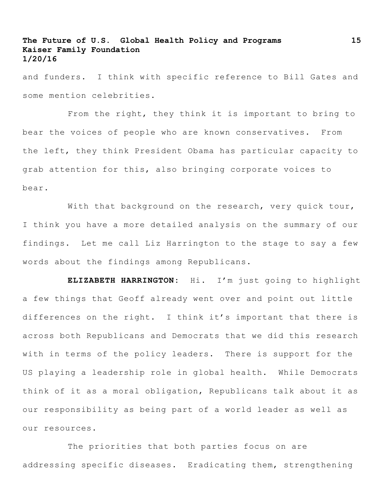and funders. I think with specific reference to Bill Gates and some mention celebrities.

From the right, they think it is important to bring to bear the voices of people who are known conservatives. From the left, they think President Obama has particular capacity to grab attention for this, also bringing corporate voices to bear.

With that background on the research, very quick tour, I think you have a more detailed analysis on the summary of our findings. Let me call Liz Harrington to the stage to say a few words about the findings among Republicans.

**ELIZABETH HARRINGTON:** Hi. I'm just going to highlight a few things that Geoff already went over and point out little differences on the right. I think it's important that there is across both Republicans and Democrats that we did this research with in terms of the policy leaders. There is support for the US playing a leadership role in global health. While Democrats think of it as a moral obligation, Republicans talk about it as our responsibility as being part of a world leader as well as our resources.

The priorities that both parties focus on are addressing specific diseases. Eradicating them, strengthening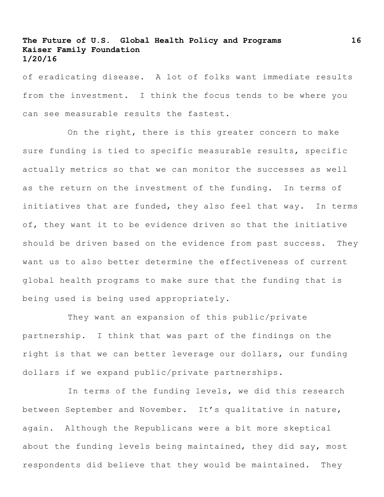of eradicating disease. A lot of folks want immediate results from the investment. I think the focus tends to be where you can see measurable results the fastest.

On the right, there is this greater concern to make sure funding is tied to specific measurable results, specific actually metrics so that we can monitor the successes as well as the return on the investment of the funding. In terms of initiatives that are funded, they also feel that way. In terms of, they want it to be evidence driven so that the initiative should be driven based on the evidence from past success. They want us to also better determine the effectiveness of current global health programs to make sure that the funding that is being used is being used appropriately.

They want an expansion of this public/private partnership. I think that was part of the findings on the right is that we can better leverage our dollars, our funding dollars if we expand public/private partnerships.

In terms of the funding levels, we did this research between September and November. It's qualitative in nature, again. Although the Republicans were a bit more skeptical about the funding levels being maintained, they did say, most respondents did believe that they would be maintained. They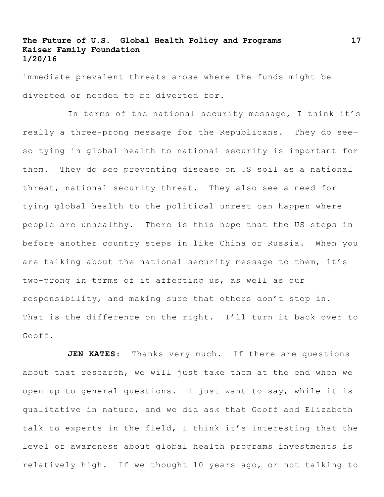immediate prevalent threats arose where the funds might be diverted or needed to be diverted for.

In terms of the national security message, I think it's really a three-prong message for the Republicans. They do see so tying in global health to national security is important for them. They do see preventing disease on US soil as a national threat, national security threat. They also see a need for tying global health to the political unrest can happen where people are unhealthy. There is this hope that the US steps in before another country steps in like China or Russia. When you are talking about the national security message to them, it's two-prong in terms of it affecting us, as well as our responsibility, and making sure that others don't step in. That is the difference on the right. I'll turn it back over to Geoff.

**JEN KATES**: Thanks very much. If there are questions about that research, we will just take them at the end when we open up to general questions. I just want to say, while it is qualitative in nature, and we did ask that Geoff and Elizabeth talk to experts in the field, I think it's interesting that the level of awareness about global health programs investments is relatively high. If we thought 10 years ago, or not talking to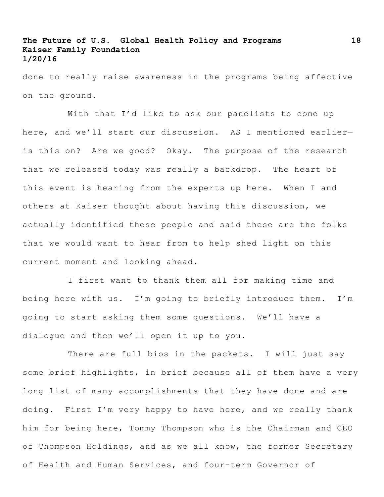done to really raise awareness in the programs being affective on the ground.

With that I'd like to ask our panelists to come up here, and we'll start our discussion. AS I mentioned earlier is this on? Are we good? Okay. The purpose of the research that we released today was really a backdrop. The heart of this event is hearing from the experts up here. When I and others at Kaiser thought about having this discussion, we actually identified these people and said these are the folks that we would want to hear from to help shed light on this current moment and looking ahead.

I first want to thank them all for making time and being here with us. I'm going to briefly introduce them. I'm going to start asking them some questions. We'll have a dialogue and then we'll open it up to you.

There are full bios in the packets. I will just say some brief highlights, in brief because all of them have a very long list of many accomplishments that they have done and are doing. First I'm very happy to have here, and we really thank him for being here, Tommy Thompson who is the Chairman and CEO of Thompson Holdings, and as we all know, the former Secretary of Health and Human Services, and four-term Governor of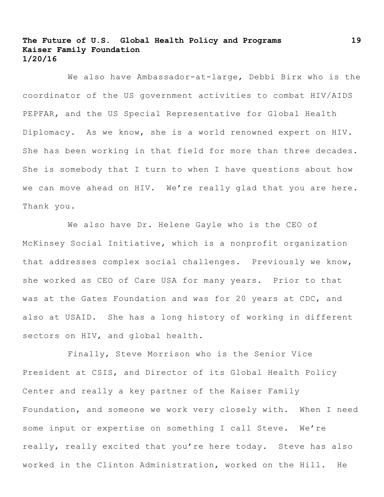We also have Ambassador-at-large, Debbi Birx who is the coordinator of the US government activities to combat HIV/AIDS PEPFAR, and the US Special Representative for Global Health Diplomacy. As we know, she is a world renowned expert on HIV. She has been working in that field for more than three decades. She is somebody that I turn to when I have questions about how we can move ahead on HIV. We're really glad that you are here. Thank you.

We also have Dr. Helene Gayle who is the CEO of McKinsey Social Initiative, which is a nonprofit organization that addresses complex social challenges. Previously we know, she worked as CEO of Care USA for many years. Prior to that was at the Gates Foundation and was for 20 years at CDC, and also at USAID. She has a long history of working in different sectors on HIV, and global health.

Finally, Steve Morrison who is the Senior Vice President at CSIS, and Director of its Global Health Policy Center and really a key partner of the Kaiser Family Foundation, and someone we work very closely with. When I need some input or expertise on something I call Steve. We're really, really excited that you're here today. Steve has also worked in the Clinton Administration, worked on the Hill. He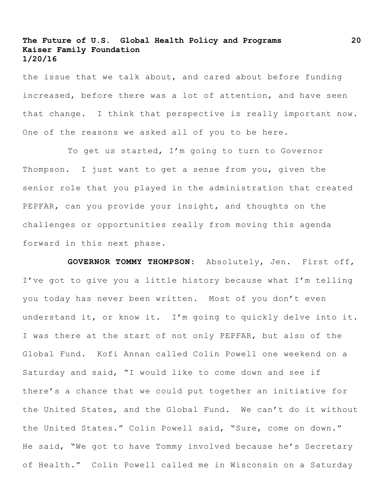the issue that we talk about, and cared about before funding increased, before there was a lot of attention, and have seen that change. I think that perspective is really important now. One of the reasons we asked all of you to be here.

To get us started, I'm going to turn to Governor Thompson. I just want to get a sense from you, given the senior role that you played in the administration that created PEPFAR, can you provide your insight, and thoughts on the challenges or opportunities really from moving this agenda forward in this next phase.

**GOVERNOR TOMMY THOMPSON**: Absolutely, Jen. First off, I've got to give you a little history because what I'm telling you today has never been written. Most of you don't even understand it, or know it. I'm going to quickly delve into it. I was there at the start of not only PEPFAR, but also of the Global Fund. Kofi Annan called Colin Powell one weekend on a Saturday and said, "I would like to come down and see if there's a chance that we could put together an initiative for the United States, and the Global Fund. We can't do it without the United States." Colin Powell said, "Sure, come on down." He said, "We got to have Tommy involved because he's Secretary of Health." Colin Powell called me in Wisconsin on a Saturday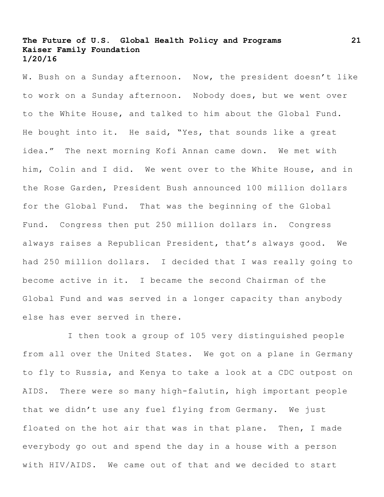W. Bush on a Sunday afternoon. Now, the president doesn't like to work on a Sunday afternoon. Nobody does, but we went over to the White House, and talked to him about the Global Fund. He bought into it. He said, "Yes, that sounds like a great idea." The next morning Kofi Annan came down. We met with him, Colin and I did. We went over to the White House, and in the Rose Garden, President Bush announced 100 million dollars for the Global Fund. That was the beginning of the Global Fund. Congress then put 250 million dollars in. Congress always raises a Republican President, that's always good. We had 250 million dollars. I decided that I was really going to become active in it. I became the second Chairman of the Global Fund and was served in a longer capacity than anybody else has ever served in there.

I then took a group of 105 very distinguished people from all over the United States. We got on a plane in Germany to fly to Russia, and Kenya to take a look at a CDC outpost on AIDS. There were so many high-falutin, high important people that we didn't use any fuel flying from Germany. We just floated on the hot air that was in that plane. Then, I made everybody go out and spend the day in a house with a person with HIV/AIDS. We came out of that and we decided to start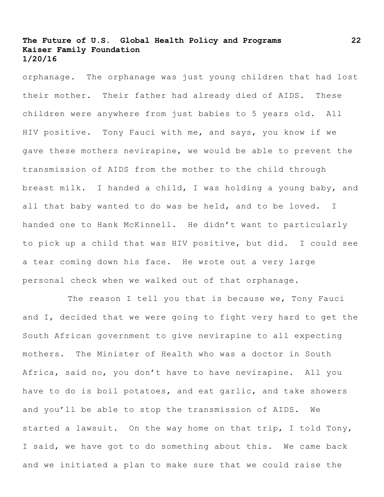orphanage. The orphanage was just young children that had lost their mother. Their father had already died of AIDS. These children were anywhere from just babies to 5 years old. All HIV positive. Tony Fauci with me, and says, you know if we gave these mothers nevirapine, we would be able to prevent the transmission of AIDS from the mother to the child through breast milk. I handed a child, I was holding a young baby, and all that baby wanted to do was be held, and to be loved. I handed one to Hank McKinnell. He didn't want to particularly to pick up a child that was HIV positive, but did. I could see a tear coming down his face. He wrote out a very large personal check when we walked out of that orphanage.

The reason I tell you that is because we, Tony Fauci and I, decided that we were going to fight very hard to get the South African government to give nevirapine to all expecting mothers. The Minister of Health who was a doctor in South Africa, said no, you don't have to have nevirapine. All you have to do is boil potatoes, and eat garlic, and take showers and you'll be able to stop the transmission of AIDS. We started a lawsuit. On the way home on that trip, I told Tony, I said, we have got to do something about this. We came back and we initiated a plan to make sure that we could raise the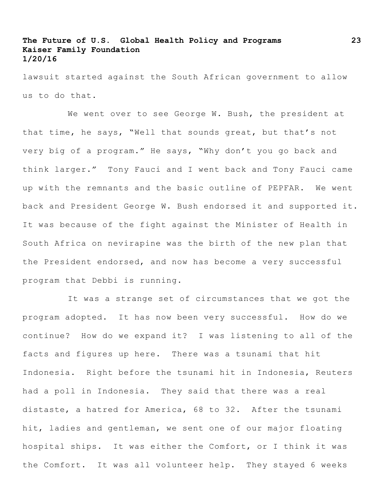lawsuit started against the South African government to allow us to do that.

We went over to see George W. Bush, the president at that time, he says, "Well that sounds great, but that's not very big of a program." He says, "Why don't you go back and think larger." Tony Fauci and I went back and Tony Fauci came up with the remnants and the basic outline of PEPFAR. We went back and President George W. Bush endorsed it and supported it. It was because of the fight against the Minister of Health in South Africa on nevirapine was the birth of the new plan that the President endorsed, and now has become a very successful program that Debbi is running.

It was a strange set of circumstances that we got the program adopted. It has now been very successful. How do we continue? How do we expand it? I was listening to all of the facts and figures up here. There was a tsunami that hit Indonesia. Right before the tsunami hit in Indonesia, Reuters had a poll in Indonesia. They said that there was a real distaste, a hatred for America, 68 to 32. After the tsunami hit, ladies and gentleman, we sent one of our major floating hospital ships. It was either the Comfort, or I think it was the Comfort. It was all volunteer help. They stayed 6 weeks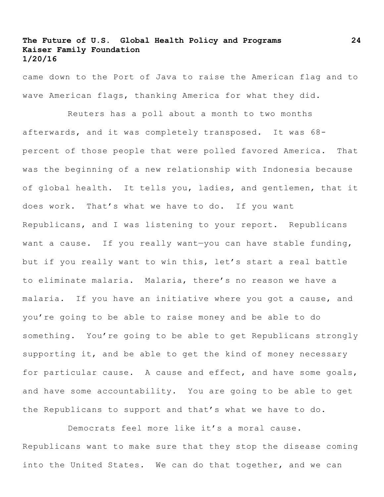came down to the Port of Java to raise the American flag and to wave American flags, thanking America for what they did.

Reuters has a poll about a month to two months afterwards, and it was completely transposed. It was 68 percent of those people that were polled favored America. That was the beginning of a new relationship with Indonesia because of global health. It tells you, ladies, and gentlemen, that it does work. That's what we have to do. If you want Republicans, and I was listening to your report. Republicans want a cause. If you really want—you can have stable funding, but if you really want to win this, let's start a real battle to eliminate malaria. Malaria, there's no reason we have a malaria. If you have an initiative where you got a cause, and you're going to be able to raise money and be able to do something. You're going to be able to get Republicans strongly supporting it, and be able to get the kind of money necessary for particular cause. A cause and effect, and have some goals, and have some accountability. You are going to be able to get the Republicans to support and that's what we have to do.

Democrats feel more like it's a moral cause. Republicans want to make sure that they stop the disease coming into the United States. We can do that together, and we can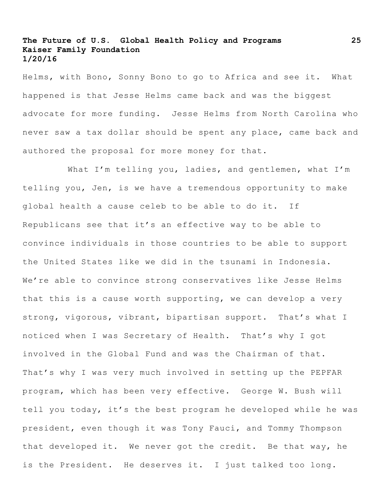Helms, with Bono, Sonny Bono to go to Africa and see it. What happened is that Jesse Helms came back and was the biggest advocate for more funding. Jesse Helms from North Carolina who never saw a tax dollar should be spent any place, came back and authored the proposal for more money for that.

What I'm telling you, ladies, and gentlemen, what I'm telling you, Jen, is we have a tremendous opportunity to make global health a cause celeb to be able to do it. If Republicans see that it's an effective way to be able to convince individuals in those countries to be able to support the United States like we did in the tsunami in Indonesia. We're able to convince strong conservatives like Jesse Helms that this is a cause worth supporting, we can develop a very strong, vigorous, vibrant, bipartisan support. That's what I noticed when I was Secretary of Health. That's why I got involved in the Global Fund and was the Chairman of that. That's why I was very much involved in setting up the PEPFAR program, which has been very effective. George W. Bush will tell you today, it's the best program he developed while he was president, even though it was Tony Fauci, and Tommy Thompson that developed it. We never got the credit. Be that way, he is the President. He deserves it. I just talked too long.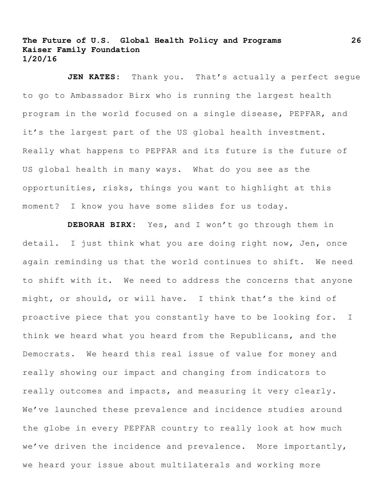JEN KATES: Thank you. That's actually a perfect seque to go to Ambassador Birx who is running the largest health program in the world focused on a single disease, PEPFAR, and it's the largest part of the US global health investment. Really what happens to PEPFAR and its future is the future of US global health in many ways. What do you see as the opportunities, risks, things you want to highlight at this moment? I know you have some slides for us today.

**DEBORAH BIRX:** Yes, and I won't go through them in detail. I just think what you are doing right now, Jen, once again reminding us that the world continues to shift. We need to shift with it. We need to address the concerns that anyone might, or should, or will have. I think that's the kind of proactive piece that you constantly have to be looking for. I think we heard what you heard from the Republicans, and the Democrats. We heard this real issue of value for money and really showing our impact and changing from indicators to really outcomes and impacts, and measuring it very clearly. We've launched these prevalence and incidence studies around the globe in every PEPFAR country to really look at how much we've driven the incidence and prevalence. More importantly, we heard your issue about multilaterals and working more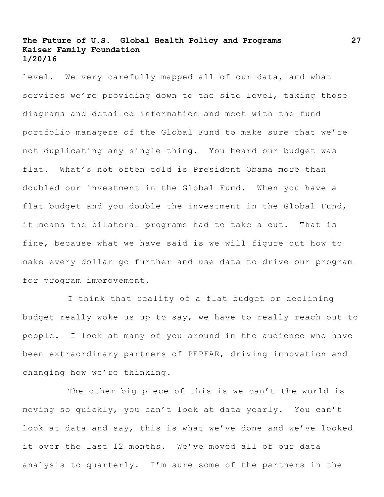level. We very carefully mapped all of our data, and what services we're providing down to the site level, taking those diagrams and detailed information and meet with the fund portfolio managers of the Global Fund to make sure that we're not duplicating any single thing. You heard our budget was flat. What's not often told is President Obama more than doubled our investment in the Global Fund. When you have a flat budget and you double the investment in the Global Fund, it means the bilateral programs had to take a cut. That is fine, because what we have said is we will figure out how to make every dollar go further and use data to drive our program for program improvement.

I think that reality of a flat budget or declining budget really woke us up to say, we have to really reach out to people. I look at many of you around in the audience who have been extraordinary partners of PEPFAR, driving innovation and changing how we're thinking.

The other big piece of this is we can't—the world is moving so quickly, you can't look at data yearly. You can't look at data and say, this is what we've done and we've looked it over the last 12 months. We've moved all of our data analysis to quarterly. I'm sure some of the partners in the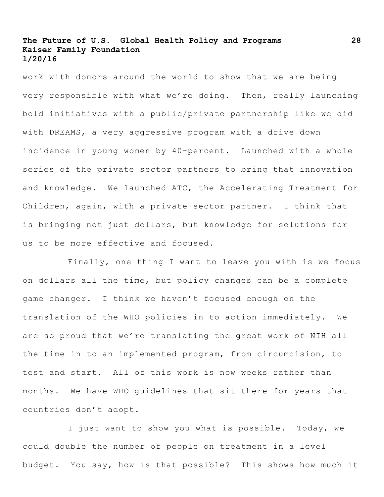work with donors around the world to show that we are being very responsible with what we're doing. Then, really launching bold initiatives with a public/private partnership like we did with DREAMS, a very aggressive program with a drive down incidence in young women by 40-percent. Launched with a whole series of the private sector partners to bring that innovation and knowledge. We launched ATC, the Accelerating Treatment for Children, again, with a private sector partner. I think that is bringing not just dollars, but knowledge for solutions for us to be more effective and focused.

Finally, one thing I want to leave you with is we focus on dollars all the time, but policy changes can be a complete game changer. I think we haven't focused enough on the translation of the WHO policies in to action immediately. We are so proud that we're translating the great work of NIH all the time in to an implemented program, from circumcision, to test and start. All of this work is now weeks rather than months. We have WHO guidelines that sit there for years that countries don't adopt.

I just want to show you what is possible. Today, we could double the number of people on treatment in a level budget. You say, how is that possible? This shows how much it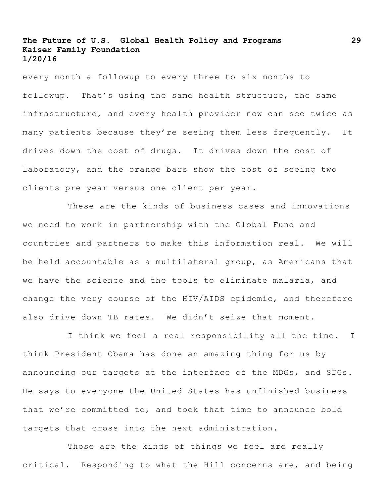every month a followup to every three to six months to followup. That's using the same health structure, the same infrastructure, and every health provider now can see twice as many patients because they're seeing them less frequently. It drives down the cost of drugs. It drives down the cost of laboratory, and the orange bars show the cost of seeing two clients pre year versus one client per year.

These are the kinds of business cases and innovations we need to work in partnership with the Global Fund and countries and partners to make this information real. We will be held accountable as a multilateral group, as Americans that we have the science and the tools to eliminate malaria, and change the very course of the HIV/AIDS epidemic, and therefore also drive down TB rates. We didn't seize that moment.

I think we feel a real responsibility all the time. I think President Obama has done an amazing thing for us by announcing our targets at the interface of the MDGs, and SDGs. He says to everyone the United States has unfinished business that we're committed to, and took that time to announce bold targets that cross into the next administration.

Those are the kinds of things we feel are really critical. Responding to what the Hill concerns are, and being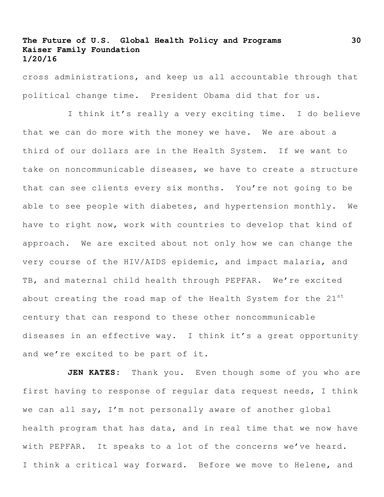cross administrations, and keep us all accountable through that political change time. President Obama did that for us.

I think it's really a very exciting time. I do believe that we can do more with the money we have. We are about a third of our dollars are in the Health System. If we want to take on noncommunicable diseases, we have to create a structure that can see clients every six months. You're not going to be able to see people with diabetes, and hypertension monthly. We have to right now, work with countries to develop that kind of approach. We are excited about not only how we can change the very course of the HIV/AIDS epidemic, and impact malaria, and TB, and maternal child health through PEPFAR. We're excited about creating the road map of the Health System for the 21st century that can respond to these other noncommunicable diseases in an effective way. I think it's a great opportunity and we're excited to be part of it.

JEN KATES: Thank you. Even though some of you who are first having to response of regular data request needs, I think we can all say, I'm not personally aware of another global health program that has data, and in real time that we now have with PEPFAR. It speaks to a lot of the concerns we've heard. I think a critical way forward. Before we move to Helene, and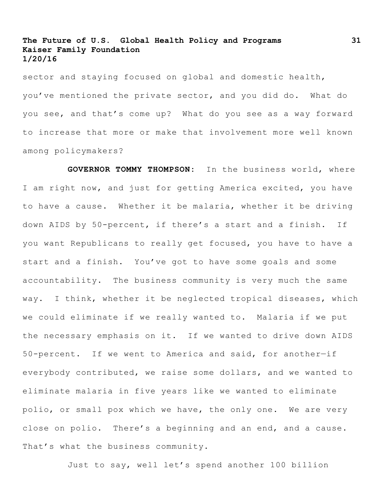sector and staying focused on global and domestic health, you've mentioned the private sector, and you did do. What do you see, and that's come up? What do you see as a way forward to increase that more or make that involvement more well known among policymakers?

**GOVERNOR TOMMY THOMPSON:** In the business world, where I am right now, and just for getting America excited, you have to have a cause. Whether it be malaria, whether it be driving down AIDS by 50-percent, if there's a start and a finish. If you want Republicans to really get focused, you have to have a start and a finish. You've got to have some goals and some accountability. The business community is very much the same way. I think, whether it be neglected tropical diseases, which we could eliminate if we really wanted to. Malaria if we put the necessary emphasis on it. If we wanted to drive down AIDS 50-percent. If we went to America and said, for another—if everybody contributed, we raise some dollars, and we wanted to eliminate malaria in five years like we wanted to eliminate polio, or small pox which we have, the only one. We are very close on polio. There's a beginning and an end, and a cause. That's what the business community.

Just to say, well let's spend another 100 billion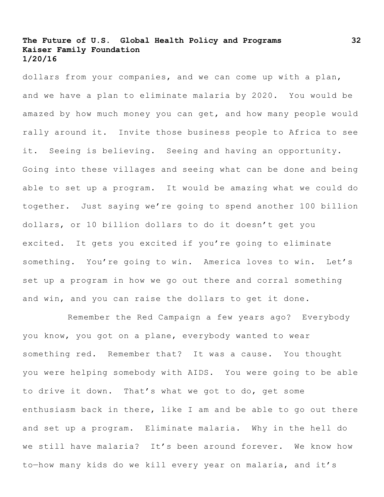dollars from your companies, and we can come up with a plan, and we have a plan to eliminate malaria by 2020. You would be amazed by how much money you can get, and how many people would rally around it. Invite those business people to Africa to see it. Seeing is believing. Seeing and having an opportunity. Going into these villages and seeing what can be done and being able to set up a program. It would be amazing what we could do together. Just saying we're going to spend another 100 billion dollars, or 10 billion dollars to do it doesn't get you excited. It gets you excited if you're going to eliminate something. You're going to win. America loves to win. Let's set up a program in how we go out there and corral something and win, and you can raise the dollars to get it done.

Remember the Red Campaign a few years ago? Everybody you know, you got on a plane, everybody wanted to wear something red. Remember that? It was a cause. You thought you were helping somebody with AIDS. You were going to be able to drive it down. That's what we got to do, get some enthusiasm back in there, like I am and be able to go out there and set up a program. Eliminate malaria. Why in the hell do we still have malaria? It's been around forever. We know how to—how many kids do we kill every year on malaria, and it's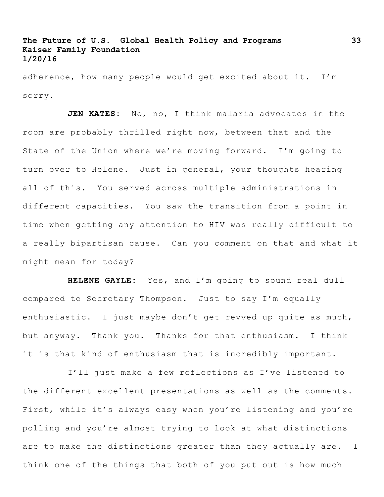adherence, how many people would get excited about it. I'm sorry.

**JEN KATES:** No, no, I think malaria advocates in the room are probably thrilled right now, between that and the State of the Union where we're moving forward. I'm going to turn over to Helene. Just in general, your thoughts hearing all of this. You served across multiple administrations in different capacities. You saw the transition from a point in time when getting any attention to HIV was really difficult to a really bipartisan cause. Can you comment on that and what it might mean for today?

**HELENE GAYLE:** Yes, and I'm going to sound real dull compared to Secretary Thompson. Just to say I'm equally enthusiastic. I just maybe don't get revved up quite as much, but anyway. Thank you. Thanks for that enthusiasm. I think it is that kind of enthusiasm that is incredibly important.

I'll just make a few reflections as I've listened to the different excellent presentations as well as the comments. First, while it's always easy when you're listening and you're polling and you're almost trying to look at what distinctions are to make the distinctions greater than they actually are. I think one of the things that both of you put out is how much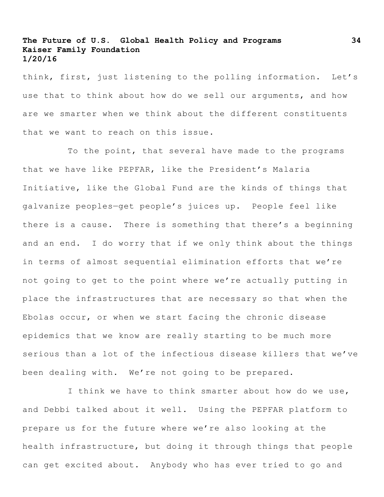think, first, just listening to the polling information. Let's use that to think about how do we sell our arguments, and how are we smarter when we think about the different constituents that we want to reach on this issue.

To the point, that several have made to the programs that we have like PEPFAR, like the President's Malaria Initiative, like the Global Fund are the kinds of things that galvanize peoples—get people's juices up. People feel like there is a cause. There is something that there's a beginning and an end. I do worry that if we only think about the things in terms of almost sequential elimination efforts that we're not going to get to the point where we're actually putting in place the infrastructures that are necessary so that when the Ebolas occur, or when we start facing the chronic disease epidemics that we know are really starting to be much more serious than a lot of the infectious disease killers that we've been dealing with. We're not going to be prepared.

I think we have to think smarter about how do we use, and Debbi talked about it well. Using the PEPFAR platform to prepare us for the future where we're also looking at the health infrastructure, but doing it through things that people can get excited about. Anybody who has ever tried to go and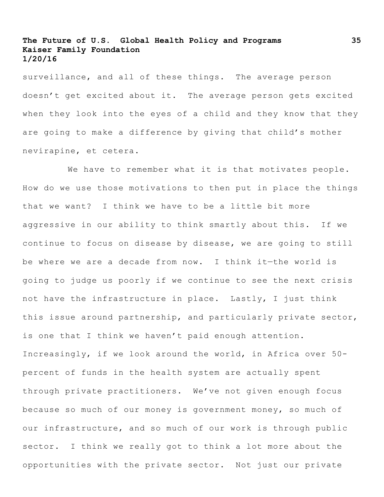surveillance, and all of these things. The average person doesn't get excited about it. The average person gets excited when they look into the eyes of a child and they know that they are going to make a difference by giving that child's mother nevirapine, et cetera.

We have to remember what it is that motivates people. How do we use those motivations to then put in place the things that we want? I think we have to be a little bit more aggressive in our ability to think smartly about this. If we continue to focus on disease by disease, we are going to still be where we are a decade from now. I think it—the world is going to judge us poorly if we continue to see the next crisis not have the infrastructure in place. Lastly, I just think this issue around partnership, and particularly private sector, is one that I think we haven't paid enough attention. Increasingly, if we look around the world, in Africa over 50 percent of funds in the health system are actually spent through private practitioners. We've not given enough focus because so much of our money is government money, so much of our infrastructure, and so much of our work is through public sector. I think we really got to think a lot more about the opportunities with the private sector. Not just our private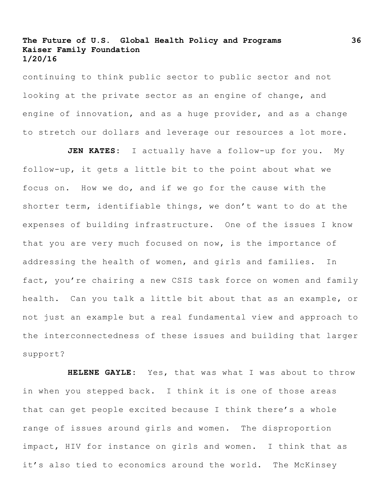continuing to think public sector to public sector and not looking at the private sector as an engine of change, and engine of innovation, and as a huge provider, and as a change to stretch our dollars and leverage our resources a lot more.

**JEN KATES:** I actually have a follow-up for you. My follow-up, it gets a little bit to the point about what we focus on. How we do, and if we go for the cause with the shorter term, identifiable things, we don't want to do at the expenses of building infrastructure. One of the issues I know that you are very much focused on now, is the importance of addressing the health of women, and girls and families. In fact, you're chairing a new CSIS task force on women and family health. Can you talk a little bit about that as an example, or not just an example but a real fundamental view and approach to the interconnectedness of these issues and building that larger support?

**HELENE GAYLE:** Yes, that was what I was about to throw in when you stepped back. I think it is one of those areas that can get people excited because I think there's a whole range of issues around girls and women. The disproportion impact, HIV for instance on girls and women. I think that as it's also tied to economics around the world. The McKinsey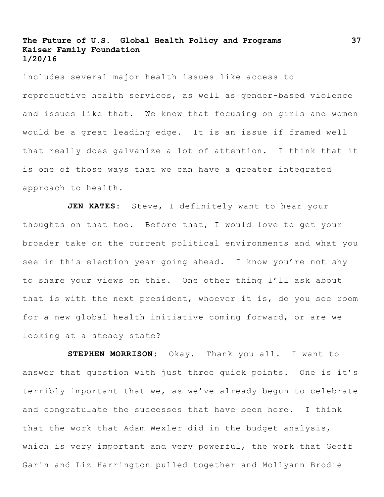includes several major health issues like access to reproductive health services, as well as gender-based violence and issues like that. We know that focusing on girls and women would be a great leading edge. It is an issue if framed well that really does galvanize a lot of attention. I think that it is one of those ways that we can have a greater integrated approach to health.

**JEN KATES:** Steve, I definitely want to hear your thoughts on that too. Before that, I would love to get your broader take on the current political environments and what you see in this election year going ahead. I know you're not shy to share your views on this. One other thing I'll ask about that is with the next president, whoever it is, do you see room for a new global health initiative coming forward, or are we looking at a steady state?

**STEPHEN MORRISON:** Okay. Thank you all. I want to answer that question with just three quick points. One is it's terribly important that we, as we've already begun to celebrate and congratulate the successes that have been here. I think that the work that Adam Wexler did in the budget analysis, which is very important and very powerful, the work that Geoff Garin and Liz Harrington pulled together and Mollyann Brodie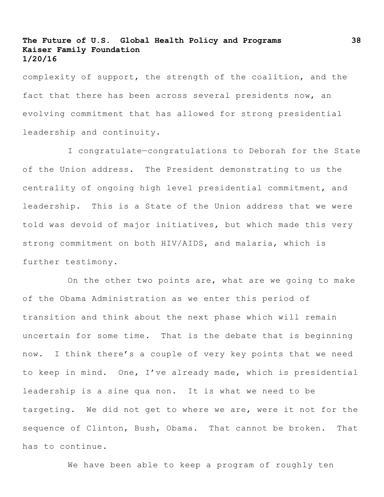complexity of support, the strength of the coalition, and the fact that there has been across several presidents now, an evolving commitment that has allowed for strong presidential leadership and continuity.

I congratulate—congratulations to Deborah for the State of the Union address. The President demonstrating to us the centrality of ongoing high level presidential commitment, and leadership. This is a State of the Union address that we were told was devoid of major initiatives, but which made this very strong commitment on both HIV/AIDS, and malaria, which is further testimony.

On the other two points are, what are we going to make of the Obama Administration as we enter this period of transition and think about the next phase which will remain uncertain for some time. That is the debate that is beginning now. I think there's a couple of very key points that we need to keep in mind. One, I've already made, which is presidential leadership is a sine qua non. It is what we need to be targeting. We did not get to where we are, were it not for the sequence of Clinton, Bush, Obama. That cannot be broken. That has to continue.

We have been able to keep a program of roughly ten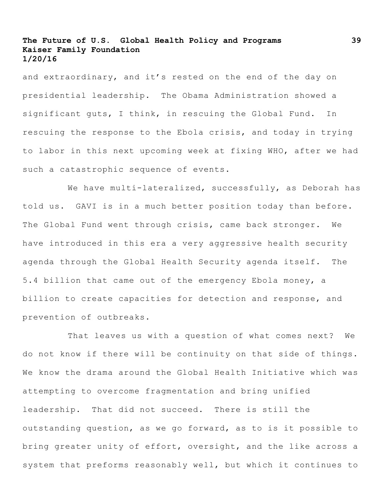and extraordinary, and it's rested on the end of the day on presidential leadership. The Obama Administration showed a significant guts, I think, in rescuing the Global Fund. In rescuing the response to the Ebola crisis, and today in trying to labor in this next upcoming week at fixing WHO, after we had such a catastrophic sequence of events.

We have multi-lateralized, successfully, as Deborah has told us. GAVI is in a much better position today than before. The Global Fund went through crisis, came back stronger. We have introduced in this era a very aggressive health security agenda through the Global Health Security agenda itself. The 5.4 billion that came out of the emergency Ebola money, a billion to create capacities for detection and response, and prevention of outbreaks.

That leaves us with a question of what comes next? We do not know if there will be continuity on that side of things. We know the drama around the Global Health Initiative which was attempting to overcome fragmentation and bring unified leadership. That did not succeed. There is still the outstanding question, as we go forward, as to is it possible to bring greater unity of effort, oversight, and the like across a system that preforms reasonably well, but which it continues to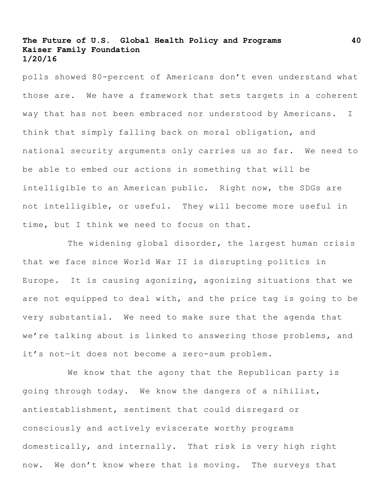polls showed 80-percent of Americans don't even understand what those are. We have a framework that sets targets in a coherent way that has not been embraced nor understood by Americans. I think that simply falling back on moral obligation, and national security arguments only carries us so far. We need to be able to embed our actions in something that will be intelligible to an American public. Right now, the SDGs are not intelligible, or useful. They will become more useful in time, but I think we need to focus on that.

The widening global disorder, the largest human crisis that we face since World War II is disrupting politics in Europe. It is causing agonizing, agonizing situations that we are not equipped to deal with, and the price tag is going to be very substantial. We need to make sure that the agenda that we're talking about is linked to answering those problems, and it's not—it does not become a zero-sum problem.

We know that the agony that the Republican party is going through today. We know the dangers of a nihilist, antiestablishment, sentiment that could disregard or consciously and actively eviscerate worthy programs domestically, and internally. That risk is very high right now. We don't know where that is moving. The surveys that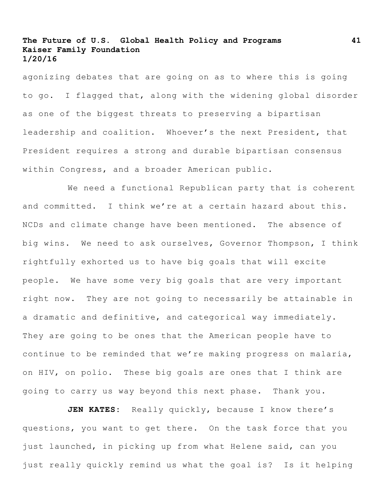agonizing debates that are going on as to where this is going to go. I flagged that, along with the widening global disorder as one of the biggest threats to preserving a bipartisan leadership and coalition. Whoever's the next President, that President requires a strong and durable bipartisan consensus within Congress, and a broader American public.

We need a functional Republican party that is coherent and committed. I think we're at a certain hazard about this. NCDs and climate change have been mentioned. The absence of big wins. We need to ask ourselves, Governor Thompson, I think rightfully exhorted us to have big goals that will excite people. We have some very big goals that are very important right now. They are not going to necessarily be attainable in a dramatic and definitive, and categorical way immediately. They are going to be ones that the American people have to continue to be reminded that we're making progress on malaria, on HIV, on polio. These big goals are ones that I think are going to carry us way beyond this next phase. Thank you.

**JEN KATES:** Really quickly, because I know there's questions, you want to get there. On the task force that you just launched, in picking up from what Helene said, can you just really quickly remind us what the goal is? Is it helping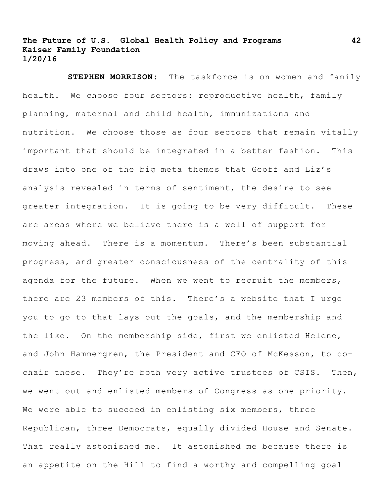**STEPHEN MORRISON:** The taskforce is on women and family health. We choose four sectors: reproductive health, family planning, maternal and child health, immunizations and nutrition. We choose those as four sectors that remain vitally important that should be integrated in a better fashion. This draws into one of the big meta themes that Geoff and Liz's analysis revealed in terms of sentiment, the desire to see greater integration. It is going to be very difficult. These are areas where we believe there is a well of support for moving ahead. There is a momentum. There's been substantial progress, and greater consciousness of the centrality of this agenda for the future. When we went to recruit the members, there are 23 members of this. There's a website that I urge you to go to that lays out the goals, and the membership and the like. On the membership side, first we enlisted Helene, and John Hammergren, the President and CEO of McKesson, to cochair these. They're both very active trustees of CSIS. Then, we went out and enlisted members of Congress as one priority. We were able to succeed in enlisting six members, three Republican, three Democrats, equally divided House and Senate. That really astonished me. It astonished me because there is an appetite on the Hill to find a worthy and compelling goal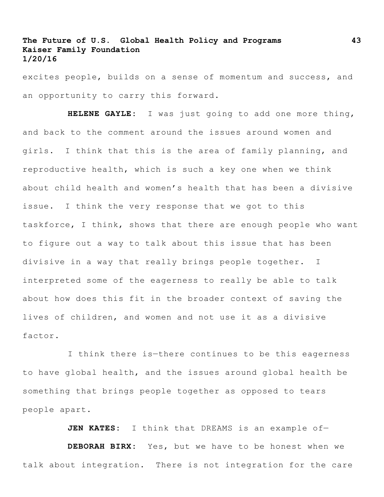excites people, builds on a sense of momentum and success, and an opportunity to carry this forward.

**HELENE GAYLE:** I was just going to add one more thing, and back to the comment around the issues around women and girls. I think that this is the area of family planning, and reproductive health, which is such a key one when we think about child health and women's health that has been a divisive issue. I think the very response that we got to this taskforce, I think, shows that there are enough people who want to figure out a way to talk about this issue that has been divisive in a way that really brings people together. I interpreted some of the eagerness to really be able to talk about how does this fit in the broader context of saving the lives of children, and women and not use it as a divisive factor.

I think there is—there continues to be this eagerness to have global health, and the issues around global health be something that brings people together as opposed to tears people apart.

**JEN KATES:** I think that DREAMS is an example of—

**DEBORAH BIRX:** Yes, but we have to be honest when we talk about integration. There is not integration for the care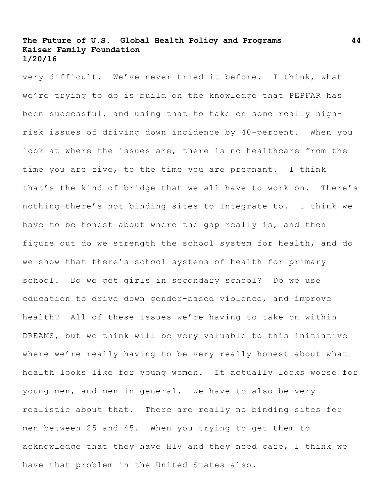very difficult. We've never tried it before. I think, what we're trying to do is build on the knowledge that PEPFAR has been successful, and using that to take on some really highrisk issues of driving down incidence by 40-percent. When you look at where the issues are, there is no healthcare from the time you are five, to the time you are pregnant. I think that's the kind of bridge that we all have to work on. There's nothing—there's not binding sites to integrate to. I think we have to be honest about where the gap really is, and then figure out do we strength the school system for health, and do we show that there's school systems of health for primary school. Do we get girls in secondary school? Do we use education to drive down gender-based violence, and improve health? All of these issues we're having to take on within DREAMS, but we think will be very valuable to this initiative where we're really having to be very really honest about what health looks like for young women. It actually looks worse for young men, and men in general. We have to also be very realistic about that. There are really no binding sites for men between 25 and 45. When you trying to get them to acknowledge that they have HIV and they need care, I think we have that problem in the United States also.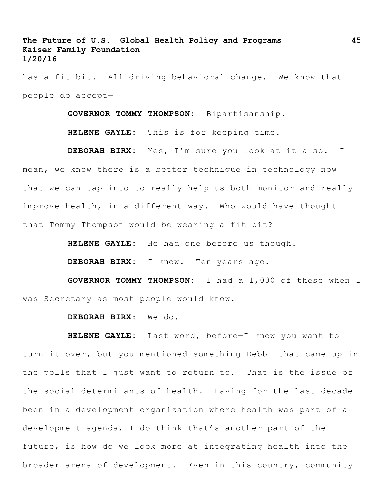has a fit bit. All driving behavioral change. We know that people do accept—

**GOVERNOR TOMMY THOMPSON:** Bipartisanship.

**HELENE GAYLE:** This is for keeping time.

**DEBORAH BIRX:** Yes, I'm sure you look at it also. I mean, we know there is a better technique in technology now that we can tap into to really help us both monitor and really improve health, in a different way. Who would have thought that Tommy Thompson would be wearing a fit bit?

**HELENE GAYLE:** He had one before us though.

**DEBORAH BIRX:** I know. Ten years ago.

**GOVERNOR TOMMY THOMPSON:** I had a 1,000 of these when I was Secretary as most people would know.

#### **DEBORAH BIRX:** We do.

**HELENE GAYLE:** Last word, before—I know you want to turn it over, but you mentioned something Debbi that came up in the polls that I just want to return to. That is the issue of the social determinants of health. Having for the last decade been in a development organization where health was part of a development agenda, I do think that's another part of the future, is how do we look more at integrating health into the broader arena of development. Even in this country, community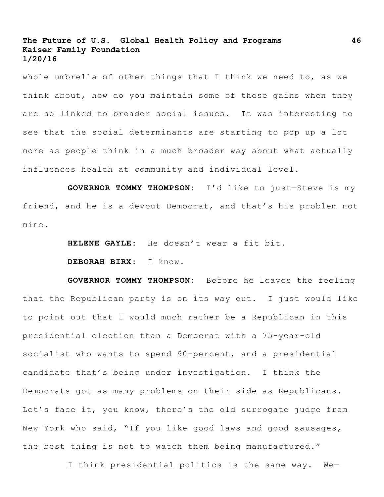whole umbrella of other things that I think we need to, as we think about, how do you maintain some of these gains when they are so linked to broader social issues. It was interesting to see that the social determinants are starting to pop up a lot more as people think in a much broader way about what actually influences health at community and individual level.

**GOVERNOR TOMMY THOMPSON:** I'd like to just—Steve is my friend, and he is a devout Democrat, and that's his problem not mine.

**HELENE GAYLE:** He doesn't wear a fit bit.

**DEBORAH BIRX:** I know.

**GOVERNOR TOMMY THOMPSON:** Before he leaves the feeling that the Republican party is on its way out. I just would like to point out that I would much rather be a Republican in this presidential election than a Democrat with a 75-year-old socialist who wants to spend 90-percent, and a presidential candidate that's being under investigation. I think the Democrats got as many problems on their side as Republicans. Let's face it, you know, there's the old surrogate judge from New York who said, "If you like good laws and good sausages, the best thing is not to watch them being manufactured."

I think presidential politics is the same way. We—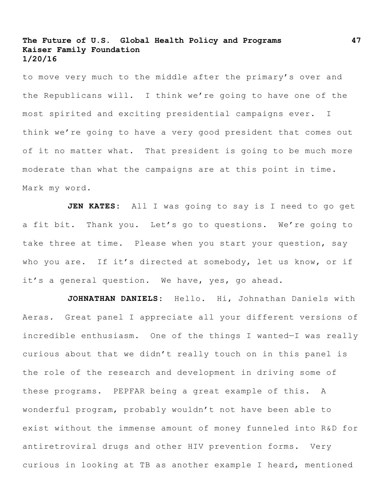to move very much to the middle after the primary's over and the Republicans will. I think we're going to have one of the most spirited and exciting presidential campaigns ever. I think we're going to have a very good president that comes out of it no matter what. That president is going to be much more moderate than what the campaigns are at this point in time. Mark my word.

**JEN KATES:** All I was going to say is I need to go get a fit bit. Thank you. Let's go to questions. We're going to take three at time. Please when you start your question, say who you are. If it's directed at somebody, let us know, or if it's a general question. We have, yes, go ahead.

**JOHNATHAN DANIELS:** Hello. Hi, Johnathan Daniels with Aeras. Great panel I appreciate all your different versions of incredible enthusiasm. One of the things I wanted—I was really curious about that we didn't really touch on in this panel is the role of the research and development in driving some of these programs. PEPFAR being a great example of this. A wonderful program, probably wouldn't not have been able to exist without the immense amount of money funneled into R&D for antiretroviral drugs and other HIV prevention forms. Very curious in looking at TB as another example I heard, mentioned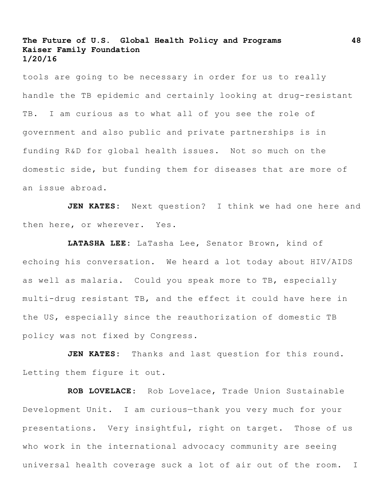tools are going to be necessary in order for us to really handle the TB epidemic and certainly looking at drug-resistant TB. I am curious as to what all of you see the role of government and also public and private partnerships is in funding R&D for global health issues. Not so much on the domestic side, but funding them for diseases that are more of an issue abroad.

**JEN KATES:** Next question? I think we had one here and then here, or wherever. Yes.

**LATASHA LEE:** LaTasha Lee, Senator Brown, kind of echoing his conversation. We heard a lot today about HIV/AIDS as well as malaria. Could you speak more to TB, especially multi-drug resistant TB, and the effect it could have here in the US, especially since the reauthorization of domestic TB policy was not fixed by Congress.

**JEN KATES:** Thanks and last question for this round. Letting them figure it out.

**ROB LOVELACE**: Rob Lovelace, Trade Union Sustainable Development Unit. I am curious—thank you very much for your presentations. Very insightful, right on target. Those of us who work in the international advocacy community are seeing universal health coverage suck a lot of air out of the room. I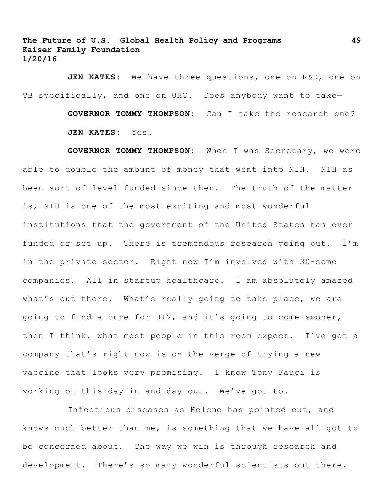**JEN KATES:** We have three questions, one on R&D, one on TB specifically, and one on UHC. Does anybody want to take-**GOVERNOR TOMMY THOMPSON:** Can I take the research one?

**JEN KATES:** Yes.

**GOVERNOR TOMMY THOMPSON:** When I was Secretary, we were able to double the amount of money that went into NIH. NIH as been sort of level funded since then. The truth of the matter is, NIH is one of the most exciting and most wonderful institutions that the government of the United States has ever funded or set up. There is tremendous research going out. I'm in the private sector. Right now I'm involved with 30-some companies. All in startup healthcare. I am absolutely amazed what's out there. What's really going to take place, we are going to find a cure for HIV, and it's going to come sooner, then I think, what most people in this room expect. I've got a company that's right now is on the verge of trying a new vaccine that looks very promising. I know Tony Fauci is working on this day in and day out. We've got to.

Infectious diseases as Helene has pointed out, and knows much better than me, is something that we have all got to be concerned about. The way we win is through research and development. There's so many wonderful scientists out there.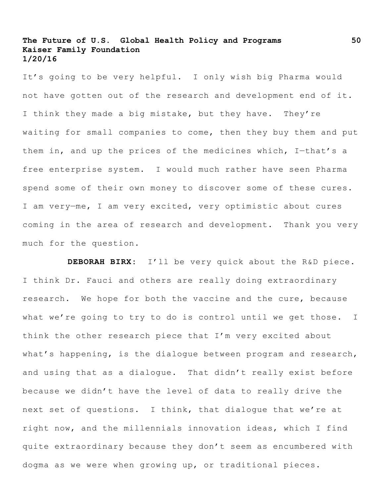It's going to be very helpful. I only wish big Pharma would not have gotten out of the research and development end of it. I think they made a big mistake, but they have. They're waiting for small companies to come, then they buy them and put them in, and up the prices of the medicines which, I—that's a free enterprise system. I would much rather have seen Pharma spend some of their own money to discover some of these cures. I am very—me, I am very excited, very optimistic about cures coming in the area of research and development. Thank you very much for the question.

**DEBORAH BIRX:** I'll be very quick about the R&D piece. I think Dr. Fauci and others are really doing extraordinary research. We hope for both the vaccine and the cure, because what we're going to try to do is control until we get those. I think the other research piece that I'm very excited about what's happening, is the dialogue between program and research, and using that as a dialogue. That didn't really exist before because we didn't have the level of data to really drive the next set of questions. I think, that dialogue that we're at right now, and the millennials innovation ideas, which I find quite extraordinary because they don't seem as encumbered with dogma as we were when growing up, or traditional pieces.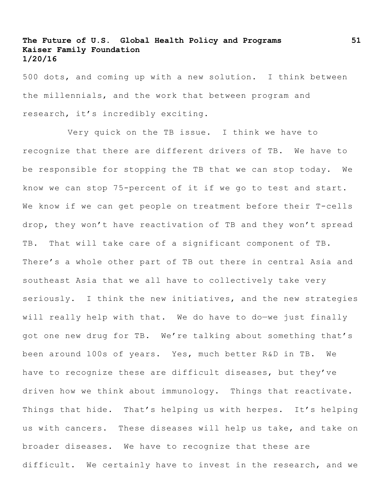500 dots, and coming up with a new solution. I think between the millennials, and the work that between program and research, it's incredibly exciting.

Very quick on the TB issue. I think we have to recognize that there are different drivers of TB. We have to be responsible for stopping the TB that we can stop today. We know we can stop 75-percent of it if we go to test and start. We know if we can get people on treatment before their T-cells drop, they won't have reactivation of TB and they won't spread TB. That will take care of a significant component of TB. There's a whole other part of TB out there in central Asia and southeast Asia that we all have to collectively take very seriously. I think the new initiatives, and the new strategies will really help with that. We do have to do—we just finally got one new drug for TB. We're talking about something that's been around 100s of years. Yes, much better R&D in TB. We have to recognize these are difficult diseases, but they've driven how we think about immunology. Things that reactivate. Things that hide. That's helping us with herpes. It's helping us with cancers. These diseases will help us take, and take on broader diseases. We have to recognize that these are difficult. We certainly have to invest in the research, and we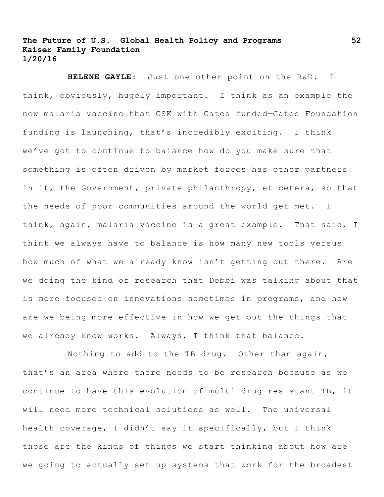**HELENE GAYLE:** Just one other point on the R&D. I think, obviously, hugely important. I think as an example the new malaria vaccine that GSK with Gates funded—Gates Foundation funding is launching, that's incredibly exciting. I think we've got to continue to balance how do you make sure that something is often driven by market forces has other partners in it, the Government, private philanthropy, et cetera, so that the needs of poor communities around the world get met. I think, again, malaria vaccine is a great example. That said, I think we always have to balance is how many new tools versus how much of what we already know isn't getting out there. Are we doing the kind of research that Debbi was talking about that is more focused on innovations sometimes in programs, and how are we being more effective in how we get out the things that we already know works. Always, I think that balance.

Nothing to add to the TB drug. Other than again, that's an area where there needs to be research because as we continue to have this evolution of multi-drug resistant TB, it will need more technical solutions as well. The universal health coverage, I didn't say it specifically, but I think those are the kinds of things we start thinking about how are we going to actually set up systems that work for the broadest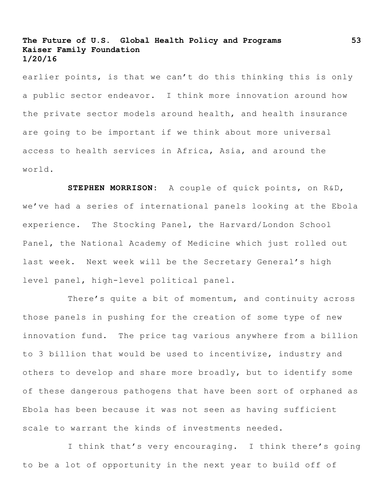earlier points, is that we can't do this thinking this is only a public sector endeavor. I think more innovation around how the private sector models around health, and health insurance are going to be important if we think about more universal access to health services in Africa, Asia, and around the world.

**STEPHEN MORRISON:** A couple of quick points, on R&D, we've had a series of international panels looking at the Ebola experience. The Stocking Panel, the Harvard/London School Panel, the National Academy of Medicine which just rolled out last week. Next week will be the Secretary General's high level panel, high-level political panel.

There's quite a bit of momentum, and continuity across those panels in pushing for the creation of some type of new innovation fund. The price tag various anywhere from a billion to 3 billion that would be used to incentivize, industry and others to develop and share more broadly, but to identify some of these dangerous pathogens that have been sort of orphaned as Ebola has been because it was not seen as having sufficient scale to warrant the kinds of investments needed.

I think that's very encouraging. I think there's going to be a lot of opportunity in the next year to build off of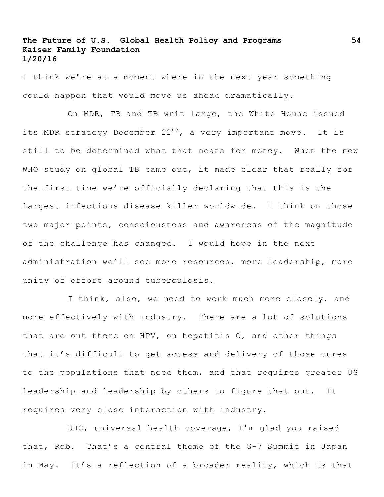I think we're at a moment where in the next year something could happen that would move us ahead dramatically.

On MDR, TB and TB writ large, the White House issued its MDR strategy December  $22^{nd}$ , a very important move. It is still to be determined what that means for money. When the new WHO study on global TB came out, it made clear that really for the first time we're officially declaring that this is the largest infectious disease killer worldwide. I think on those two major points, consciousness and awareness of the magnitude of the challenge has changed. I would hope in the next administration we'll see more resources, more leadership, more unity of effort around tuberculosis.

I think, also, we need to work much more closely, and more effectively with industry. There are a lot of solutions that are out there on HPV, on hepatitis C, and other things that it's difficult to get access and delivery of those cures to the populations that need them, and that requires greater US leadership and leadership by others to figure that out. It requires very close interaction with industry.

UHC, universal health coverage, I'm glad you raised that, Rob. That's a central theme of the G-7 Summit in Japan in May. It's a reflection of a broader reality, which is that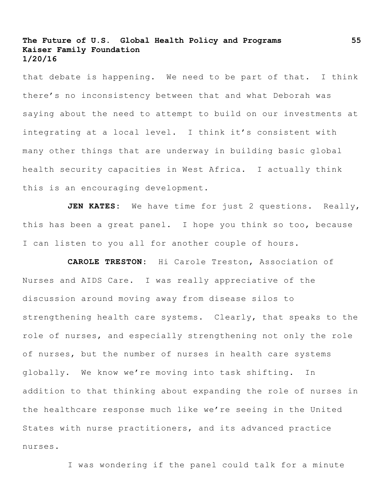that debate is happening. We need to be part of that. I think there's no inconsistency between that and what Deborah was saying about the need to attempt to build on our investments at integrating at a local level. I think it's consistent with many other things that are underway in building basic global health security capacities in West Africa. I actually think this is an encouraging development.

**JEN KATES:** We have time for just 2 questions. Really, this has been a great panel. I hope you think so too, because I can listen to you all for another couple of hours.

**CAROLE TRESTON:** Hi Carole Treston, Association of Nurses and AIDS Care. I was really appreciative of the discussion around moving away from disease silos to strengthening health care systems. Clearly, that speaks to the role of nurses, and especially strengthening not only the role of nurses, but the number of nurses in health care systems globally. We know we're moving into task shifting. In addition to that thinking about expanding the role of nurses in the healthcare response much like we're seeing in the United States with nurse practitioners, and its advanced practice nurses.

I was wondering if the panel could talk for a minute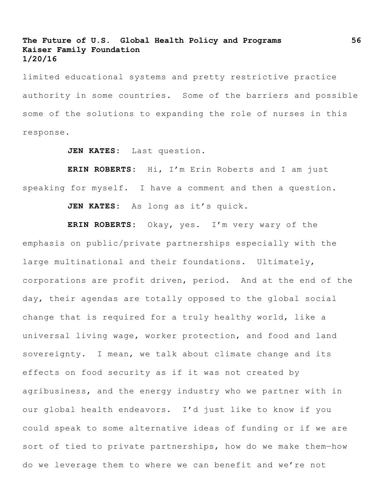limited educational systems and pretty restrictive practice authority in some countries. Some of the barriers and possible some of the solutions to expanding the role of nurses in this response.

**JEN KATES:** Last question.

**ERIN ROBERTS:** Hi, I'm Erin Roberts and I am just speaking for myself. I have a comment and then a question.

**JEN KATES:** As long as it's quick.

**ERIN ROBERTS:** Okay, yes. I'm very wary of the emphasis on public/private partnerships especially with the large multinational and their foundations. Ultimately, corporations are profit driven, period. And at the end of the day, their agendas are totally opposed to the global social change that is required for a truly healthy world, like a universal living wage, worker protection, and food and land sovereignty. I mean, we talk about climate change and its effects on food security as if it was not created by agribusiness, and the energy industry who we partner with in our global health endeavors. I'd just like to know if you could speak to some alternative ideas of funding or if we are sort of tied to private partnerships, how do we make them—how do we leverage them to where we can benefit and we're not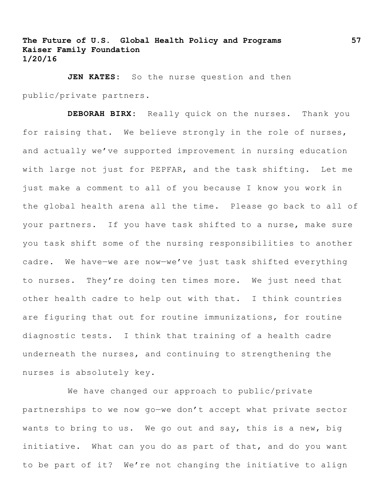**JEN KATES:** So the nurse question and then public/private partners.

**DEBORAH BIRX:** Really quick on the nurses. Thank you for raising that. We believe strongly in the role of nurses, and actually we've supported improvement in nursing education with large not just for PEPFAR, and the task shifting. Let me just make a comment to all of you because I know you work in the global health arena all the time. Please go back to all of your partners. If you have task shifted to a nurse, make sure you task shift some of the nursing responsibilities to another cadre. We have—we are now—we've just task shifted everything to nurses. They're doing ten times more. We just need that other health cadre to help out with that. I think countries are figuring that out for routine immunizations, for routine diagnostic tests. I think that training of a health cadre underneath the nurses, and continuing to strengthening the nurses is absolutely key.

We have changed our approach to public/private partnerships to we now go—we don't accept what private sector wants to bring to us. We go out and say, this is a new, big initiative. What can you do as part of that, and do you want to be part of it? We're not changing the initiative to align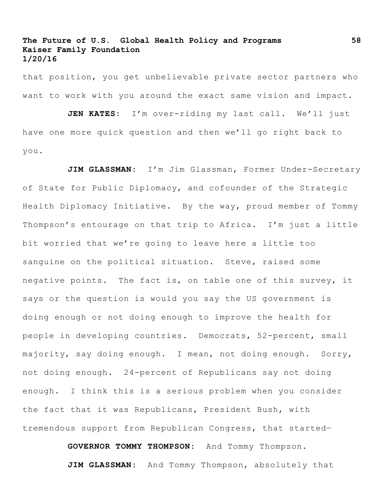that position, you get unbelievable private sector partners who want to work with you around the exact same vision and impact.

**JEN KATES:** I'm over-riding my last call. We'll just have one more quick question and then we'll go right back to you.

JIM GLASSMAN: I'm Jim Glassman, Former Under-Secretary of State for Public Diplomacy, and cofounder of the Strategic Health Diplomacy Initiative. By the way, proud member of Tommy Thompson's entourage on that trip to Africa. I'm just a little bit worried that we're going to leave here a little too sanguine on the political situation. Steve, raised some negative points. The fact is, on table one of this survey, it says or the question is would you say the US government is doing enough or not doing enough to improve the health for people in developing countries. Democrats, 52-percent, small majority, say doing enough. I mean, not doing enough. Sorry, not doing enough. 24-percent of Republicans say not doing enough. I think this is a serious problem when you consider the fact that it was Republicans, President Bush, with tremendous support from Republican Congress, that started—

> **GOVERNOR TOMMY THOMPSON:** And Tommy Thompson. **JIM GLASSMAN:** And Tommy Thompson, absolutely that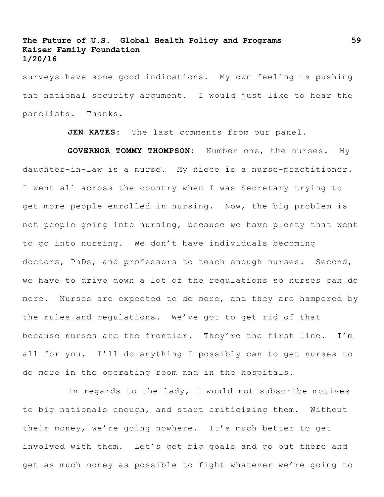surveys have some good indications. My own feeling is pushing the national security argument. I would just like to hear the panelists. Thanks.

**JEN KATES:** The last comments from our panel.

**GOVERNOR TOMMY THOMPSON:** Number one, the nurses. My daughter-in-law is a nurse. My niece is a nurse-practitioner. I went all across the country when I was Secretary trying to get more people enrolled in nursing. Now, the big problem is not people going into nursing, because we have plenty that went to go into nursing. We don't have individuals becoming doctors, PhDs, and professors to teach enough nurses. Second, we have to drive down a lot of the regulations so nurses can do more. Nurses are expected to do more, and they are hampered by the rules and regulations. We've got to get rid of that because nurses are the frontier. They're the first line. I'm all for you. I'll do anything I possibly can to get nurses to do more in the operating room and in the hospitals.

In regards to the lady, I would not subscribe motives to big nationals enough, and start criticizing them. Without their money, we're going nowhere. It's much better to get involved with them. Let's get big goals and go out there and get as much money as possible to fight whatever we're going to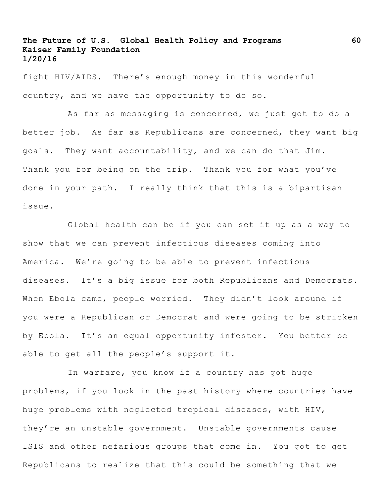fight HIV/AIDS. There's enough money in this wonderful country, and we have the opportunity to do so.

As far as messaging is concerned, we just got to do a better job. As far as Republicans are concerned, they want big goals. They want accountability, and we can do that Jim. Thank you for being on the trip. Thank you for what you've done in your path. I really think that this is a bipartisan issue.

Global health can be if you can set it up as a way to show that we can prevent infectious diseases coming into America. We're going to be able to prevent infectious diseases. It's a big issue for both Republicans and Democrats. When Ebola came, people worried. They didn't look around if you were a Republican or Democrat and were going to be stricken by Ebola. It's an equal opportunity infester. You better be able to get all the people's support it.

In warfare, you know if a country has got huge problems, if you look in the past history where countries have huge problems with neglected tropical diseases, with HIV, they're an unstable government. Unstable governments cause ISIS and other nefarious groups that come in. You got to get Republicans to realize that this could be something that we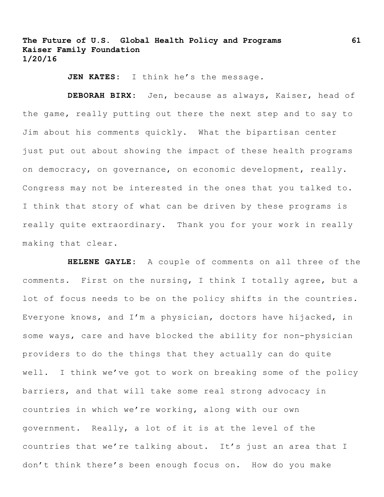JEN KATES: I think he's the message.

**DEBORAH BIRX:** Jen, because as always, Kaiser, head of the game, really putting out there the next step and to say to Jim about his comments quickly. What the bipartisan center just put out about showing the impact of these health programs on democracy, on governance, on economic development, really. Congress may not be interested in the ones that you talked to. I think that story of what can be driven by these programs is really quite extraordinary. Thank you for your work in really making that clear.

**HELENE GAYLE:** A couple of comments on all three of the comments. First on the nursing, I think I totally agree, but a lot of focus needs to be on the policy shifts in the countries. Everyone knows, and I'm a physician, doctors have hijacked, in some ways, care and have blocked the ability for non-physician providers to do the things that they actually can do quite well. I think we've got to work on breaking some of the policy barriers, and that will take some real strong advocacy in countries in which we're working, along with our own government. Really, a lot of it is at the level of the countries that we're talking about. It's just an area that I don't think there's been enough focus on. How do you make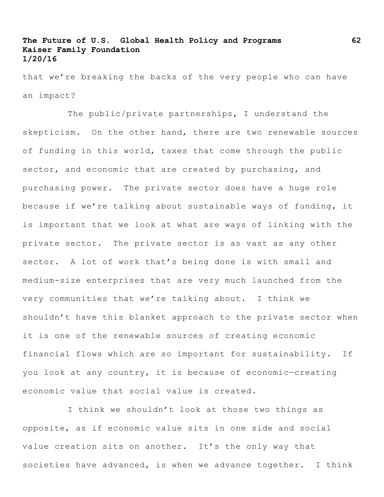that we're breaking the backs of the very people who can have an impact?

The public/private partnerships, I understand the skepticism. On the other hand, there are two renewable sources of funding in this world, taxes that come through the public sector, and economic that are created by purchasing, and purchasing power. The private sector does have a huge role because if we're talking about sustainable ways of funding, it is important that we look at what are ways of linking with the private sector. The private sector is as vast as any other sector. A lot of work that's being done is with small and medium-size enterprises that are very much launched from the very communities that we're talking about. I think we shouldn't have this blanket approach to the private sector when it is one of the renewable sources of creating economic financial flows which are so important for sustainability. If you look at any country, it is because of economic—creating economic value that social value is created.

I think we shouldn't look at those two things as opposite, as if economic value sits in one side and social value creation sits on another. It's the only way that societies have advanced, is when we advance together. I think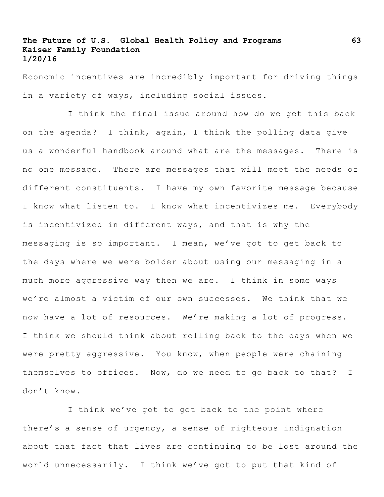Economic incentives are incredibly important for driving things in a variety of ways, including social issues.

I think the final issue around how do we get this back on the agenda? I think, again, I think the polling data give us a wonderful handbook around what are the messages. There is no one message. There are messages that will meet the needs of different constituents. I have my own favorite message because I know what listen to. I know what incentivizes me. Everybody is incentivized in different ways, and that is why the messaging is so important. I mean, we've got to get back to the days where we were bolder about using our messaging in a much more aggressive way then we are. I think in some ways we're almost a victim of our own successes. We think that we now have a lot of resources. We're making a lot of progress. I think we should think about rolling back to the days when we were pretty aggressive. You know, when people were chaining themselves to offices. Now, do we need to go back to that? I don't know.

I think we've got to get back to the point where there's a sense of urgency, a sense of righteous indignation about that fact that lives are continuing to be lost around the world unnecessarily. I think we've got to put that kind of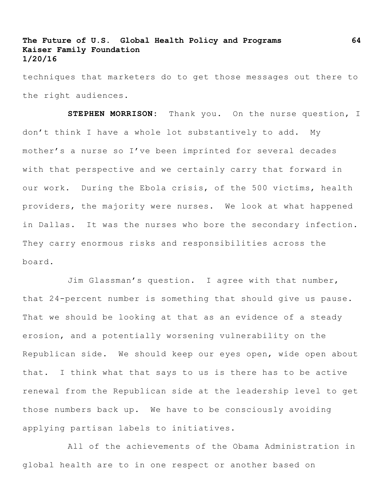techniques that marketers do to get those messages out there to the right audiences.

**STEPHEN MORRISON:** Thank you. On the nurse question, I don't think I have a whole lot substantively to add. My mother's a nurse so I've been imprinted for several decades with that perspective and we certainly carry that forward in our work. During the Ebola crisis, of the 500 victims, health providers, the majority were nurses. We look at what happened in Dallas. It was the nurses who bore the secondary infection. They carry enormous risks and responsibilities across the board.

Jim Glassman's question. I agree with that number, that 24-percent number is something that should give us pause. That we should be looking at that as an evidence of a steady erosion, and a potentially worsening vulnerability on the Republican side. We should keep our eyes open, wide open about that. I think what that says to us is there has to be active renewal from the Republican side at the leadership level to get those numbers back up. We have to be consciously avoiding applying partisan labels to initiatives.

All of the achievements of the Obama Administration in global health are to in one respect or another based on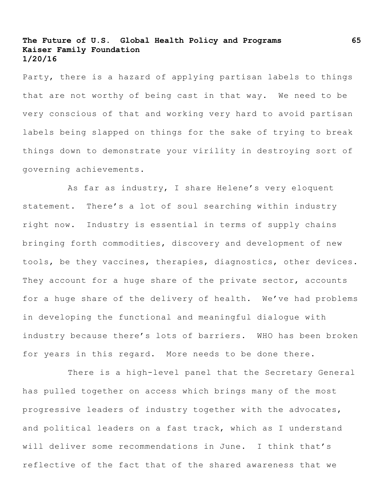Party, there is a hazard of applying partisan labels to things that are not worthy of being cast in that way. We need to be very conscious of that and working very hard to avoid partisan labels being slapped on things for the sake of trying to break things down to demonstrate your virility in destroying sort of governing achievements.

As far as industry, I share Helene's very eloquent statement. There's a lot of soul searching within industry right now. Industry is essential in terms of supply chains bringing forth commodities, discovery and development of new tools, be they vaccines, therapies, diagnostics, other devices. They account for a huge share of the private sector, accounts for a huge share of the delivery of health. We've had problems in developing the functional and meaningful dialogue with industry because there's lots of barriers. WHO has been broken for years in this regard. More needs to be done there.

There is a high-level panel that the Secretary General has pulled together on access which brings many of the most progressive leaders of industry together with the advocates, and political leaders on a fast track, which as I understand will deliver some recommendations in June. I think that's reflective of the fact that of the shared awareness that we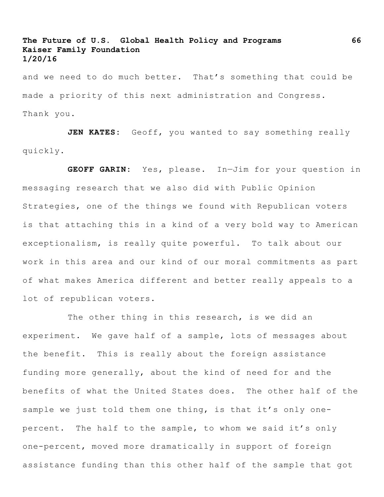and we need to do much better. That's something that could be made a priority of this next administration and Congress. Thank you.

**JEN KATES:** Geoff, you wanted to say something really quickly.

**GEOFF GARIN:** Yes, please. In—Jim for your question in messaging research that we also did with Public Opinion Strategies, one of the things we found with Republican voters is that attaching this in a kind of a very bold way to American exceptionalism, is really quite powerful. To talk about our work in this area and our kind of our moral commitments as part of what makes America different and better really appeals to a lot of republican voters.

The other thing in this research, is we did an experiment. We gave half of a sample, lots of messages about the benefit. This is really about the foreign assistance funding more generally, about the kind of need for and the benefits of what the United States does. The other half of the sample we just told them one thing, is that it's only onepercent. The half to the sample, to whom we said it's only one-percent, moved more dramatically in support of foreign assistance funding than this other half of the sample that got